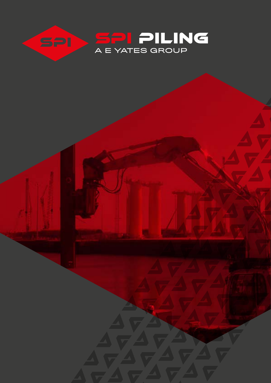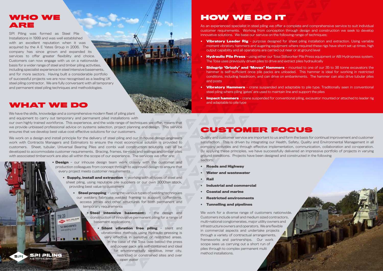## HOW WE DO IT

As an experienced specialist in steel piling we offer a complete and comprehensive service to suit individual customer requirements. Working from conception through design and construction we seek to develop innovative solutions. We base our service on the following range of techniques;

- **• Vibratory Leader Rig** purpose designed for sheet piling installation and extraction. Using variable moment vibratory hammers and augering equipment where required these rigs have short set up times, high output capability and all operations are carried out near or at ground level
- **• Hydraulic Pile Press**  using either our Tosa Stillworker Pile Press equipment or ABI Hydropress system. The Tosa uses previously driven piles to drive and extract piles hydraulically
- **• Sidegrip 'Grizzly' and 'Movax' Hammers** mounted to one of our 35 to 38 tonne excavators the hammer is self-sufficient once pile packs are unloaded. This hammer is ideal for working in restricted conditions, including headroom, and can drive on embankments. The hammer can also drive tubular piles and posts
- **• Vibratory Hammers** crane suspended and adaptable to pile type. Traditionally seen in conventional steel piling where piling 'gates' are used to maintain line and support the piles
- **• Impact hammers** crane suspended for conventional piling, excavator mounted or attached to leader rig and adaptable to pile type

#### WHO WE ARE

### CUSTOMER FOCUS

Quality and customer service are important to us and form the basis for continual improvement and customer satisfaction. This is driven by integrating our Health, Safety, Quality and Environmental Management in all company activities and through effective implementation, communication, collaboration and co-operation. By applying these principles, we have successfully delivered an impressive portfolio of projects in varying ground conditions. Projects have been designed and constructed in the following sectors;

- **• Roads and Highway**
- **• Water and wastewater**
- **• Rail**
- **• Industrial and commercial**
- **• Coastal and marine**
- **• Restricted environments**
- **• Tunnelling and pipelines**

We work for a diverse range of customers nationwide. Customers include small and medium sized contractors, multi-national conglomerates, major utility owners and infrastructure owners and operators. We are flexible in commercial aspects and undertake projects through a variety of contractual arrangements, frameworks and partnerships. Our work scope sees us carrying out a short run of piles through to complex permanent multi method installations.



SPI Piling was formed as Steel Pile Installations in 1999 and was well established with an excellent reputation when it was acquired by the A E Yates Group in 2006. The company has since grown and expanded its services to offer greater flexibility and choice. Customers can now engage with us on a nationwide basis for a wider range of steel and timber piling activities, including specialist experience in steel intensive basements, and for more sectors. Having built a considerable portfolio of successful projects we are now recognised as a leading UK steel piling contractor. We are fully conversant with all temporary and permanent steel piling techniques and methodologies.

WHAT WE DO

We have the skills, knowledge and a comprehensive modern fleet of piling plant and equipment to carry out temporary and permanent piled installations with

SPI PILING

..

Tel: 0845 4507475 awa tobling co sk

our own highly trained workforce. This experience, and the wide range of techniques we offer, means that we provide unbiased professional advice on systems selection, project planning and design. This service ensures that we develop best value cost effective solutions for our customers.

We work on a design and install principle for the delivery of steel piling and our in-house design engineers work with Contracts Managers and Estimators to ensure the most economical solution is provided to customers. Sheet, tubular, Universal Bearing Piles and combi wall construction solutions can all be developed to accommodate customer requirements. Bracing, frames, tie-rods and walings and timber piles with associated timberwork are also all within the scope of our experience. The services we offer are;

- **• Design** our inhouse design team work closely with the customer and production colleagues from concept through to approved design to ensure that every project meets customer requirements
	- **• Supply, install and extraction**  working with all types of steel and sheet piling, using reputable pile suppliers or our own 3000te+ stock, providing best value to customers
		- **• Steel propping**  using the various types of welding techniques our welders fabricate welded framing to support cofferdams, access jetties and other structures for both permanent and temporary requirements
			- **• Steel intensive basement**s the design and construction of innovative permanent piling for a range of basement applications
				- **Silent vibration free piling silent and** vibrationless methods using hydraulic pressing is very effective in sensitive or restricted areas. In the case of the Tosa (see below) the press and power pack are self-contained and ideal for environmentally sensitive, inner city, restricted or constrained sites and over open water